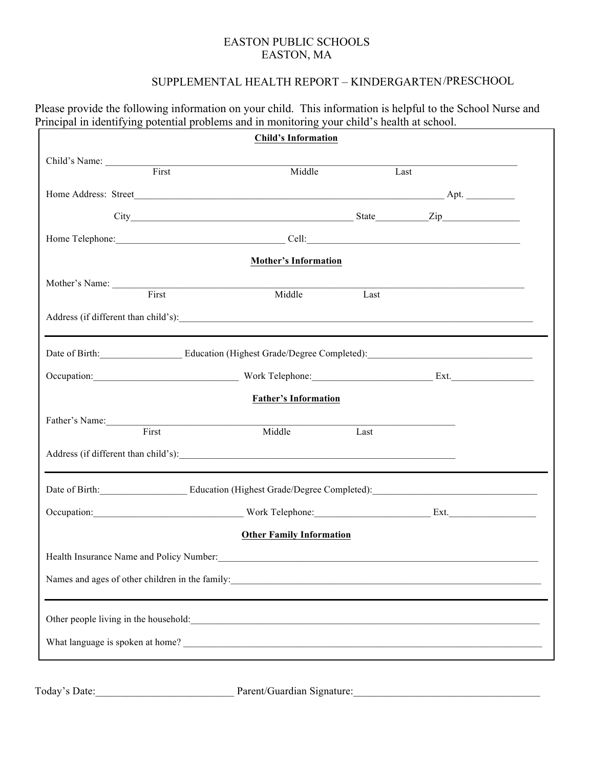## EASTON PUBLIC SCHOOLS EASTON, MA

Please provide the following information on your child. This information is helpful to the School Nurse and

## SUPPLEMENTAL HEALTH REPORT – KINDERGARTEN /PRESCHOOL

|                                                                                                                                                                                                                                | <b>Child's Information</b>                    |      |  |
|--------------------------------------------------------------------------------------------------------------------------------------------------------------------------------------------------------------------------------|-----------------------------------------------|------|--|
| Child's Name: First                                                                                                                                                                                                            |                                               |      |  |
|                                                                                                                                                                                                                                | Middle                                        | Last |  |
|                                                                                                                                                                                                                                |                                               |      |  |
|                                                                                                                                                                                                                                | City Zip                                      |      |  |
| Home Telephone: Cell: Cell: Cell: Cell: Cell: Cell: Cell: Cell: Cell: Cell: Cell: Cell: Cell: Cell: Cell: Cell: Cell: Cell: Cell: Cell: Cell: Cell: Cell: Cell: Cell: Cell: Cell: Cell: Cell: Cell: Cell: Cell: Cell: Cell: Ce |                                               |      |  |
|                                                                                                                                                                                                                                | <b>Mother's Information</b>                   |      |  |
|                                                                                                                                                                                                                                |                                               |      |  |
| Mother's Name: First                                                                                                                                                                                                           | Middle                                        | Last |  |
|                                                                                                                                                                                                                                |                                               |      |  |
|                                                                                                                                                                                                                                |                                               |      |  |
| Date of Birth: Education (Highest Grade/Degree Completed): Cample 2014                                                                                                                                                         |                                               |      |  |
| Occupation: Ext.                                                                                                                                                                                                               |                                               |      |  |
|                                                                                                                                                                                                                                | <b>Father's Information</b>                   |      |  |
| Father's Name:                                                                                                                                                                                                                 |                                               |      |  |
| First                                                                                                                                                                                                                          | Middle                                        | Last |  |
|                                                                                                                                                                                                                                |                                               |      |  |
| Date of Birth: Education (Highest Grade/Degree Completed): Case of Birth:                                                                                                                                                      |                                               |      |  |
| Occupation: Ext.                                                                                                                                                                                                               |                                               |      |  |
|                                                                                                                                                                                                                                | <b>Other Family Information</b>               |      |  |
| Health Insurance Name and Policy Number:                                                                                                                                                                                       | <u> 1980 - Andrea Andrew Maria (h. 1980).</u> |      |  |
|                                                                                                                                                                                                                                |                                               |      |  |
|                                                                                                                                                                                                                                |                                               |      |  |
|                                                                                                                                                                                                                                |                                               |      |  |
|                                                                                                                                                                                                                                |                                               |      |  |

Today's Date:\_\_\_\_\_\_\_\_\_\_\_\_\_\_\_\_\_\_\_\_\_\_\_\_\_\_ Parent/Guardian Signature:\_\_\_\_\_\_\_\_\_\_\_\_\_\_\_\_\_\_\_\_\_\_\_\_\_\_\_\_\_\_\_\_\_\_\_